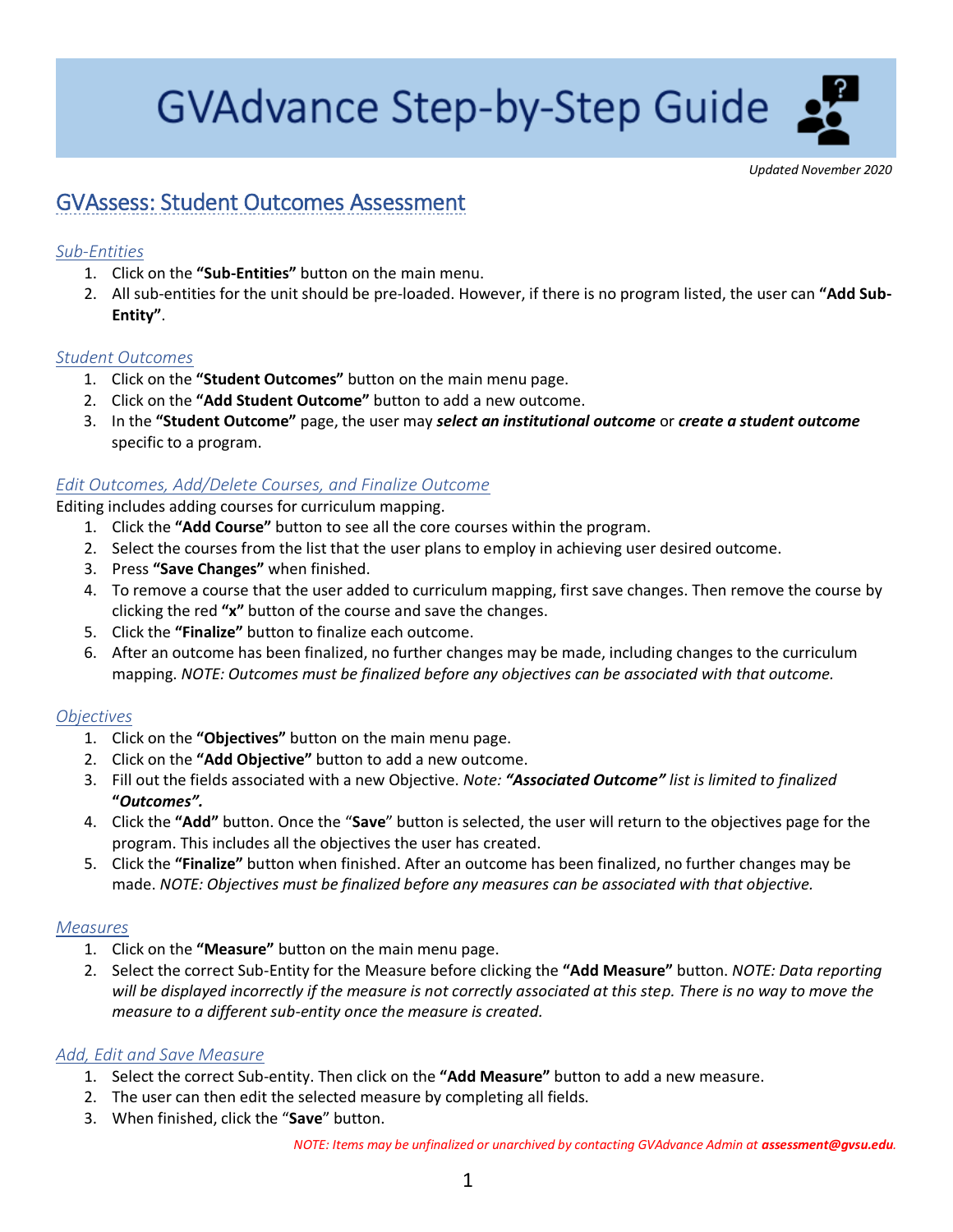# **GVAdvance Step-by-Step Guide**

*Updated November 2020*

# GVAssess: Student Outcomes Assessment

## *Sub-Entities*

- 1. Click on the **"Sub-Entities"** button on the main menu.
- 2. All sub-entities for the unit should be pre-loaded. However, if there is no program listed, the user can **"Add Sub-Entity"**.

#### *Student Outcomes*

- 1. Click on the **"Student Outcomes"** button on the main menu page.
- 2. Click on the **"Add Student Outcome"** button to add a new outcome.
- 3. In the **"Student Outcome"** page, the user may *select an institutional outcome* or *create a student outcome* specific to a program.

#### *Edit Outcomes, Add/Delete Courses, and Finalize Outcome*

Editing includes adding courses for curriculum mapping.

- 1. Click the **"Add Course"** button to see all the core courses within the program.
- 2. Select the courses from the list that the user plans to employ in achieving user desired outcome.
- 3. Press **"Save Changes"** when finished.
- 4. To remove a course that the user added to curriculum mapping, first save changes. Then remove the course by clicking the red **"x"** button of the course and save the changes.
- 5. Click the **"Finalize"** button to finalize each outcome.
- 6. After an outcome has been finalized, no further changes may be made, including changes to the curriculum mapping. *NOTE: Outcomes must be finalized before any objectives can be associated with that outcome.*

## *Objectives*

- 1. Click on the **"Objectives"** button on the main menu page.
- 2. Click on the **"Add Objective"** button to add a new outcome.
- 3. Fill out the fields associated with a new Objective. *Note: "Associated Outcome" list is limited to finalized* **"***Outcomes".*
- 4. Click the **"Add"** button. Once the "**Save**" button is selected, the user will return to the objectives page for the program. This includes all the objectives the user has created.
- 5. Click the **"Finalize"** button when finished. After an outcome has been finalized, no further changes may be made. *NOTE: Objectives must be finalized before any measures can be associated with that objective.*

#### *Measures*

- 1. Click on the **"Measure"** button on the main menu page.
- 2. Select the correct Sub-Entity for the Measure before clicking the **"Add Measure"** button. *NOTE: Data reporting will be displayed incorrectly if the measure is not correctly associated at this step. There is no way to move the measure to a different sub-entity once the measure is created.*

#### *Add, Edit and Save Measure*

- 1. Select the correct Sub-entity. Then click on the **"Add Measure"** button to add a new measure.
- 2. The user can then edit the selected measure by completing all fields.
- 3. When finished, click the "**Save**" button.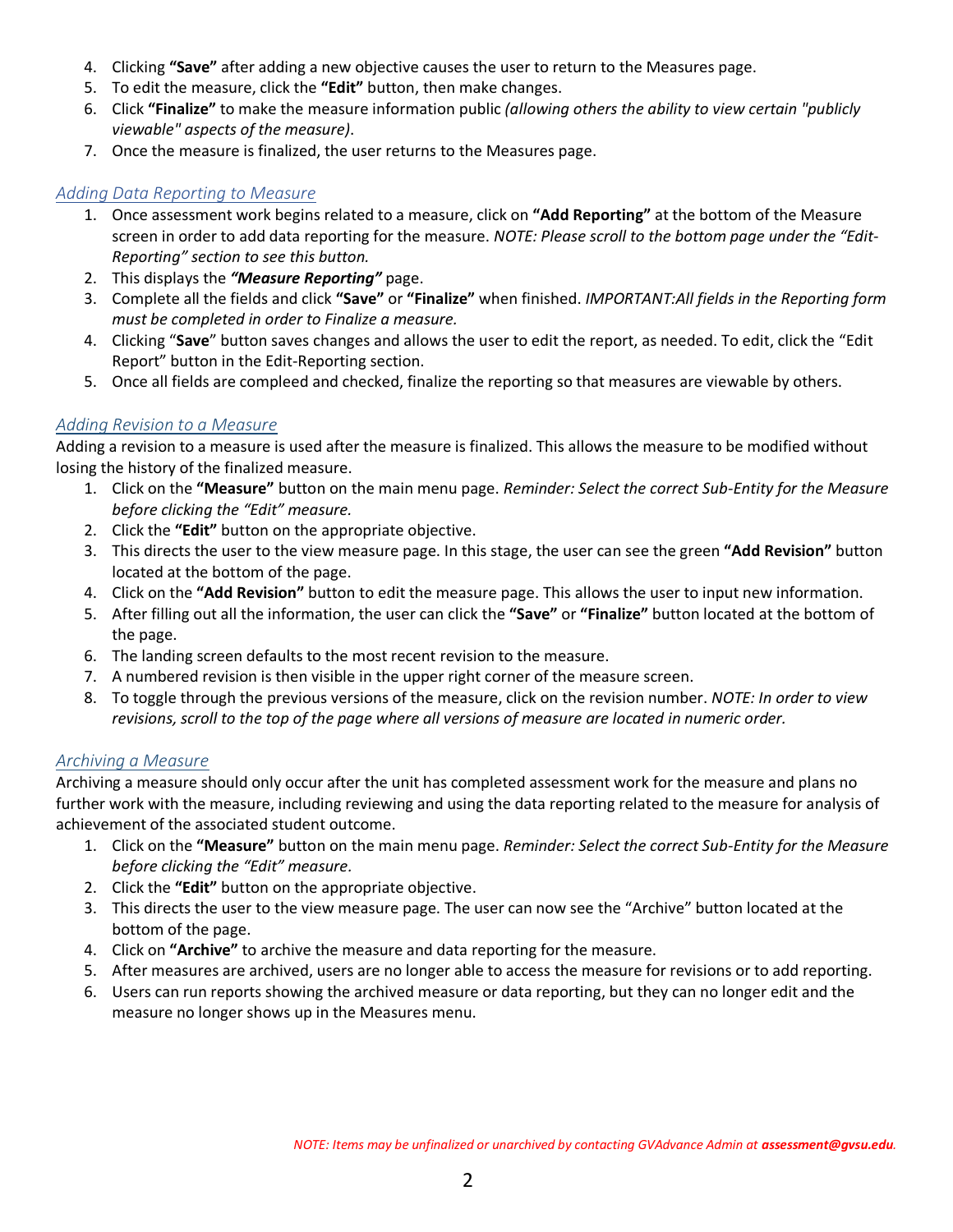- 4. Clicking **"Save"** after adding a new objective causes the user to return to the Measures page.
- 5. To edit the measure, click the **"Edit"** button, then make changes.
- 6. Click **"Finalize"** to make the measure information public *(allowing others the ability to view certain "publicly viewable" aspects of the measure)*.
- 7. Once the measure is finalized, the user returns to the Measures page.

#### *Adding Data Reporting to Measure*

- 1. Once assessment work begins related to a measure, click on **"Add Reporting"** at the bottom of the Measure screen in order to add data reporting for the measure. *NOTE: Please scroll to the bottom page under the "Edit-Reporting" section to see this button.*
- 2. This displays the *"Measure Reporting"* page.
- 3. Complete all the fields and click **"Save"** or **"Finalize"** when finished. *IMPORTANT:All fields in the Reporting form must be completed in order to Finalize a measure.*
- 4. Clicking "**Save**" button saves changes and allows the user to edit the report, as needed. To edit, click the "Edit Report" button in the Edit-Reporting section.
- 5. Once all fields are compleed and checked, finalize the reporting so that measures are viewable by others.

## *Adding Revision to a Measure*

Adding a revision to a measure is used after the measure is finalized. This allows the measure to be modified without losing the history of the finalized measure.

- 1. Click on the **"Measure"** button on the main menu page. *Reminder: Select the correct Sub-Entity for the Measure before clicking the "Edit" measure.*
- 2. Click the **"Edit"** button on the appropriate objective.
- 3. This directs the user to the view measure page. In this stage, the user can see the green **"Add Revision"** button located at the bottom of the page.
- 4. Click on the **"Add Revision"** button to edit the measure page. This allows the user to input new information.
- 5. After filling out all the information, the user can click the **"Save"** or **"Finalize"** button located at the bottom of the page.
- 6. The landing screen defaults to the most recent revision to the measure.
- 7. A numbered revision is then visible in the upper right corner of the measure screen.
- 8. To toggle through the previous versions of the measure, click on the revision number. *NOTE: In order to view revisions, scroll to the top of the page where all versions of measure are located in numeric order.*

#### *Archiving a Measure*

Archiving a measure should only occur after the unit has completed assessment work for the measure and plans no further work with the measure, including reviewing and using the data reporting related to the measure for analysis of achievement of the associated student outcome.

- 1. Click on the **"Measure"** button on the main menu page. *Reminder: Select the correct Sub-Entity for the Measure before clicking the "Edit" measure.*
- 2. Click the **"Edit"** button on the appropriate objective.
- 3. This directs the user to the view measure page. The user can now see the "Archive" button located at the bottom of the page.
- 4. Click on **"Archive"** to archive the measure and data reporting for the measure.
- 5. After measures are archived, users are no longer able to access the measure for revisions or to add reporting.
- 6. Users can run reports showing the archived measure or data reporting, but they can no longer edit and the measure no longer shows up in the Measures menu.